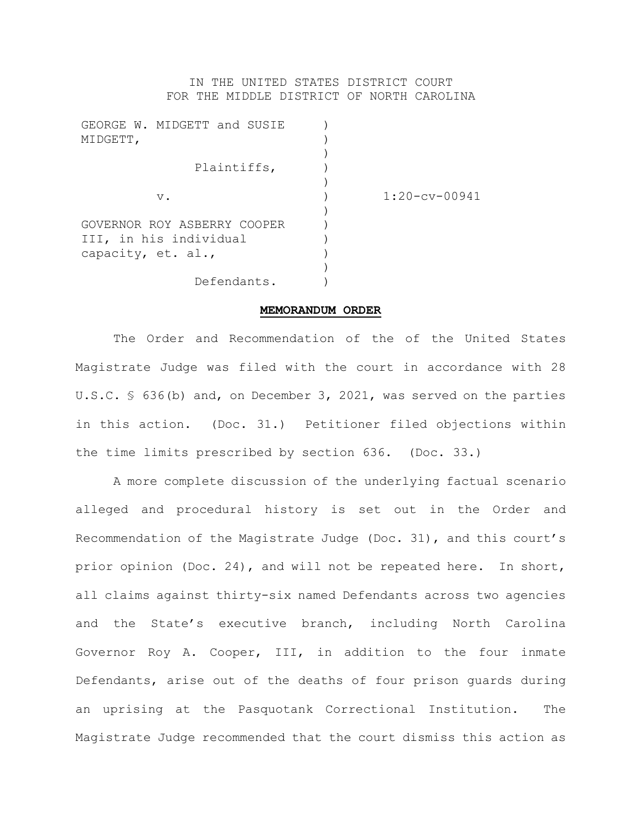## IN THE UNITED STATES DISTRICT COURT FOR THE MIDDLE DISTRICT OF NORTH CAROLINA

| GEORGE W. MIDGETT and SUSIE<br>MIDGETT,               |                 |
|-------------------------------------------------------|-----------------|
| Plaintiffs,                                           |                 |
| v.                                                    | $1:20-cv-00941$ |
| GOVERNOR ROY ASBERRY COOPER<br>III, in his individual |                 |
| capacity, et. al.,                                    |                 |
| Defendants.                                           |                 |

## **MEMORANDUM ORDER**

The Order and Recommendation of the of the United States Magistrate Judge was filed with the court in accordance with 28 U.S.C. § 636(b) and, on December 3, 2021, was served on the parties in this action. (Doc. 31.) Petitioner filed objections within the time limits prescribed by section 636. (Doc. 33.)

A more complete discussion of the underlying factual scenario alleged and procedural history is set out in the Order and Recommendation of the Magistrate Judge (Doc. 31), and this court's prior opinion (Doc. 24), and will not be repeated here. In short, all claims against thirty-six named Defendants across two agencies and the State's executive branch, including North Carolina Governor Roy A. Cooper, III, in addition to the four inmate Defendants, arise out of the deaths of four prison guards during an uprising at the Pasquotank Correctional Institution. The Magistrate Judge recommended that the court dismiss this action as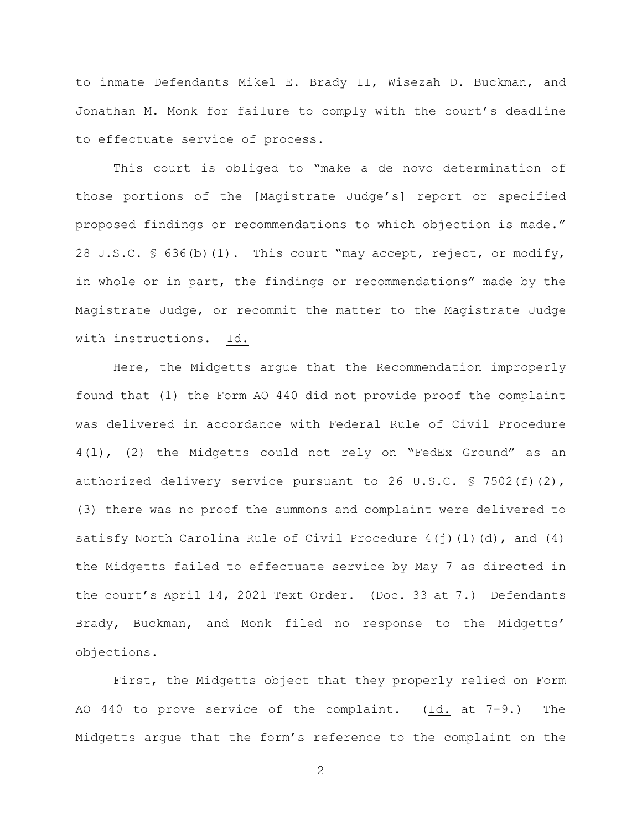to inmate Defendants Mikel E. Brady II, Wisezah D. Buckman, and Jonathan M. Monk for failure to comply with the court's deadline to effectuate service of process.

This court is obliged to "make a de novo determination of those portions of the [Magistrate Judge's] report or specified proposed findings or recommendations to which objection is made." 28 U.S.C. § 636(b)(1). This court "may accept, reject, or modify, in whole or in part, the findings or recommendations" made by the Magistrate Judge, or recommit the matter to the Magistrate Judge with instructions. Id.

Here, the Midgetts argue that the Recommendation improperly found that (1) the Form AO 440 did not provide proof the complaint was delivered in accordance with Federal Rule of Civil Procedure 4(l), (2) the Midgetts could not rely on "FedEx Ground" as an authorized delivery service pursuant to 26 U.S.C.  $\frac{1}{5}$  7502(f)(2), (3) there was no proof the summons and complaint were delivered to satisfy North Carolina Rule of Civil Procedure  $4(j)(1)(d)$ , and  $(4)$ the Midgetts failed to effectuate service by May 7 as directed in the court's April 14, 2021 Text Order. (Doc. 33 at 7.) Defendants Brady, Buckman, and Monk filed no response to the Midgetts' objections.

First, the Midgetts object that they properly relied on Form AO 440 to prove service of the complaint. (Id. at 7-9.) The Midgetts argue that the form's reference to the complaint on the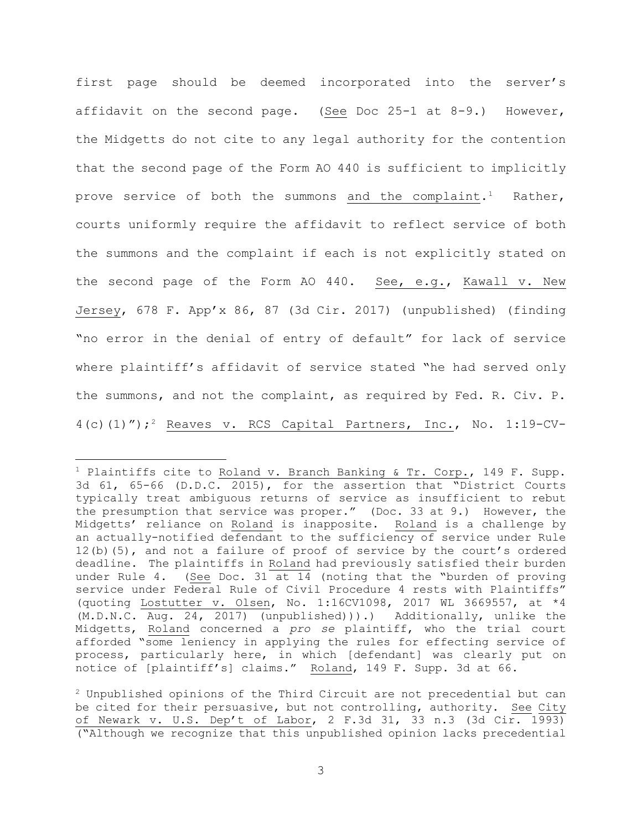first page should be deemed incorporated into the server's affidavit on the second page. (See Doc 25-1 at 8-9.) However, the Midgetts do not cite to any legal authority for the contention that the second page of the Form AO 440 is sufficient to implicitly prove service of both the summons and the complaint.<sup>1</sup> Rather, courts uniformly require the affidavit to reflect service of both the summons and the complaint if each is not explicitly stated on the second page of the Form AO 440. See, e.g., Kawall v. New Jersey, 678 F. App'x 86, 87 (3d Cir. 2017) (unpublished) (finding "no error in the denial of entry of default" for lack of service where plaintiff's affidavit of service stated "he had served only the summons, and not the complaint, as required by Fed. R. Civ. P.  $4(c)(1)$ ");<sup>2</sup> Reaves v. RCS Capital Partners, Inc., No. 1:19-CV-

<sup>&</sup>lt;sup>1</sup> Plaintiffs cite to Roland v. Branch Banking & Tr. Corp., 149 F. Supp. 3d 61, 65-66 (D.D.C. 2015), for the assertion that "District Courts typically treat ambiguous returns of service as insufficient to rebut the presumption that service was proper." (Doc. 33 at 9.) However, the Midgetts' reliance on Roland is inapposite. Roland is a challenge by an actually-notified defendant to the sufficiency of service under Rule 12(b)(5), and not a failure of proof of service by the court's ordered deadline. The plaintiffs in Roland had previously satisfied their burden under Rule 4. (See Doc. 31 at  $14$  (noting that the "burden of proving service under Federal Rule of Civil Procedure 4 rests with Plaintiffs" (quoting Lostutter v. Olsen, No. 1:16CV1098, 2017 WL 3669557, at \*4 (M.D.N.C. Aug. 24, 2017) (unpublished))).) Additionally, unlike the Midgetts, Roland concerned a *pro se* plaintiff, who the trial court afforded "some leniency in applying the rules for effecting service of process, particularly here, in which [defendant] was clearly put on notice of [plaintiff's] claims." Roland, 149 F. Supp. 3d at 66.

 $2$  Unpublished opinions of the Third Circuit are not precedential but can be cited for their persuasive, but not controlling, authority. See City of Newark v. U.S. Dep't of Labor, 2 F.3d 31, 33 n.3 (3d Cir. 1993) ("Although we recognize that this unpublished opinion lacks precedential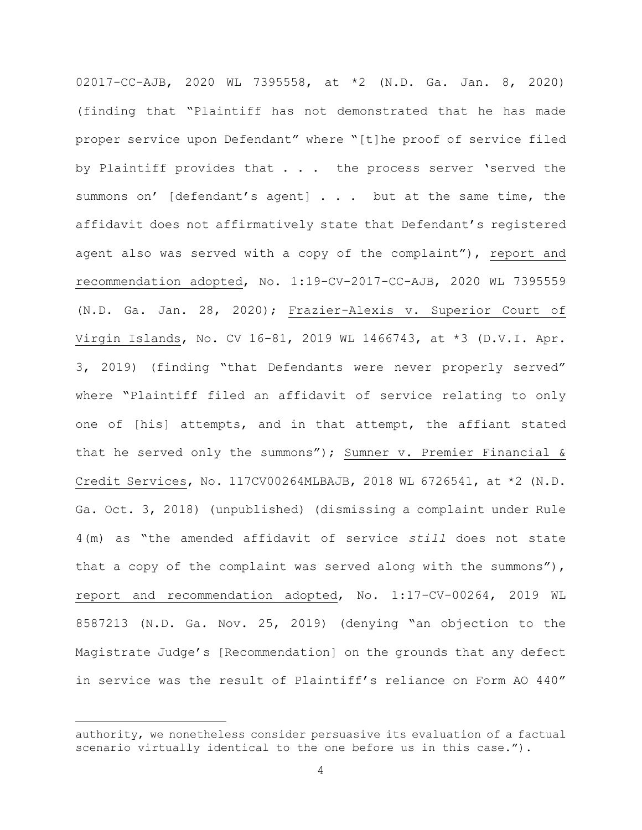02017-CC-AJB, 2020 WL 7395558, at \*2 (N.D. Ga. Jan. 8, 2020) (finding that "Plaintiff has not demonstrated that he has made proper service upon Defendant" where "[t]he proof of service filed by Plaintiff provides that . . . the process server 'served the summons on' [defendant's agent] . . . but at the same time, the affidavit does not affirmatively state that Defendant's registered agent also was served with a copy of the complaint"), report and recommendation adopted, No. 1:19-CV-2017-CC-AJB, 2020 WL 7395559 (N.D. Ga. Jan. 28, 2020); Frazier-Alexis v. Superior Court of Virgin Islands, No. CV 16-81, 2019 WL 1466743, at \*3 (D.V.I. Apr. 3, 2019) (finding "that Defendants were never properly served" where "Plaintiff filed an affidavit of service relating to only one of [his] attempts, and in that attempt, the affiant stated that he served only the summons"); Sumner v. Premier Financial & Credit Services, No. 117CV00264MLBAJB, 2018 WL 6726541, at \*2 (N.D. Ga. Oct. 3, 2018) (unpublished) (dismissing a complaint under Rule 4(m) as "the amended affidavit of service *still* does not state that a copy of the complaint was served along with the summons"), report and recommendation adopted, No. 1:17-CV-00264, 2019 WL 8587213 (N.D. Ga. Nov. 25, 2019) (denying "an objection to the Magistrate Judge's [Recommendation] on the grounds that any defect in service was the result of Plaintiff's reliance on Form AO 440"

authority, we nonetheless consider persuasive its evaluation of a factual scenario virtually identical to the one before us in this case.").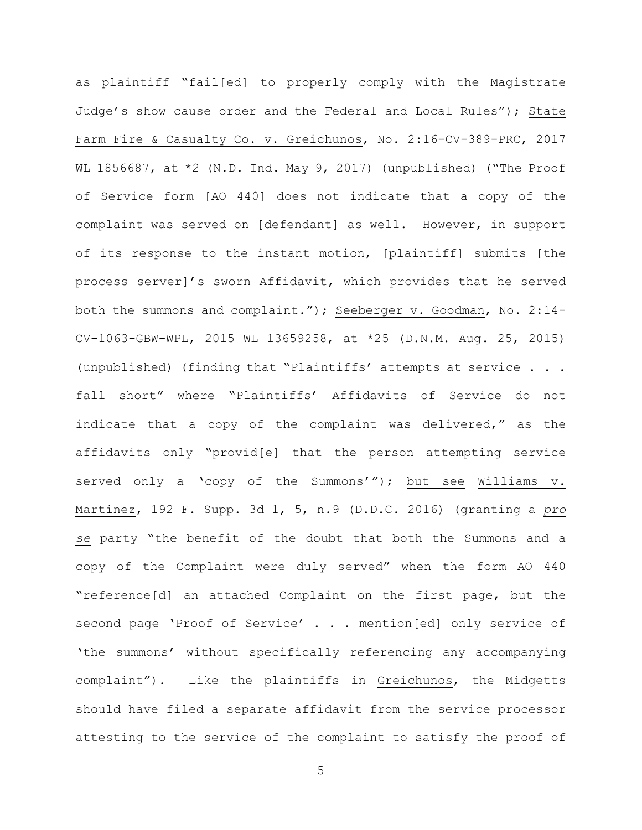as plaintiff "fail[ed] to properly comply with the Magistrate Judge's show cause order and the Federal and Local Rules"); State Farm Fire & Casualty Co. v. Greichunos, No. 2:16-CV-389-PRC, 2017 WL 1856687, at  $*2$  (N.D. Ind. May 9, 2017) (unpublished) ("The Proof of Service form [AO 440] does not indicate that a copy of the complaint was served on [defendant] as well. However, in support of its response to the instant motion, [plaintiff] submits [the process server]'s sworn Affidavit, which provides that he served both the summons and complaint."); Seeberger v. Goodman, No. 2:14- CV-1063-GBW-WPL, 2015 WL 13659258, at \*25 (D.N.M. Aug. 25, 2015) (unpublished) (finding that "Plaintiffs' attempts at service . . . fall short" where "Plaintiffs' Affidavits of Service do not indicate that a copy of the complaint was delivered," as the affidavits only "provid[e] that the person attempting service served only a 'copy of the Summons'"); but see Williams v. Martinez, 192 F. Supp. 3d 1, 5, n.9 (D.D.C. 2016) (granting a *pro se* party "the benefit of the doubt that both the Summons and a copy of the Complaint were duly served" when the form AO 440 "reference[d] an attached Complaint on the first page, but the second page 'Proof of Service' . . . mention[ed] only service of 'the summons' without specifically referencing any accompanying complaint"). Like the plaintiffs in Greichunos, the Midgetts should have filed a separate affidavit from the service processor attesting to the service of the complaint to satisfy the proof of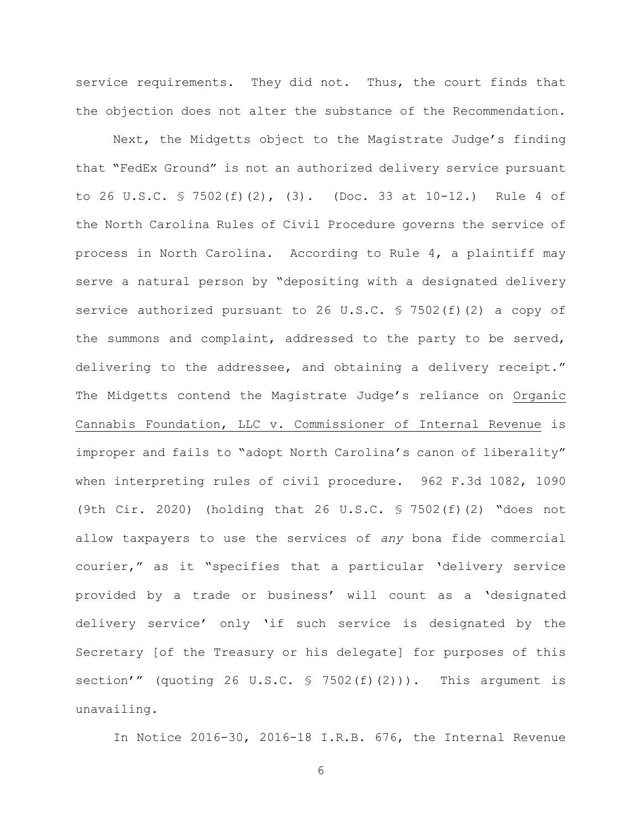service requirements. They did not. Thus, the court finds that the objection does not alter the substance of the Recommendation.

Next, the Midgetts object to the Magistrate Judge's finding that "FedEx Ground" is not an authorized delivery service pursuant to 26 U.S.C. § 7502(f)(2), (3). (Doc. 33 at 10-12.) Rule 4 of the North Carolina Rules of Civil Procedure governs the service of process in North Carolina. According to Rule 4, a plaintiff may serve a natural person by "depositing with a designated delivery service authorized pursuant to 26 U.S.C. § 7502(f)(2) a copy of the summons and complaint, addressed to the party to be served, delivering to the addressee, and obtaining a delivery receipt." The Midgetts contend the Magistrate Judge's reliance on Organic Cannabis Foundation, LLC v. Commissioner of Internal Revenue is improper and fails to "adopt North Carolina's canon of liberality" when interpreting rules of civil procedure. 962 F.3d 1082, 1090 (9th Cir. 2020) (holding that 26 U.S.C. § 7502(f)(2) "does not allow taxpayers to use the services of *any* bona fide commercial courier," as it "specifies that a particular 'delivery service provided by a trade or business' will count as a 'designated delivery service' only 'if such service is designated by the Secretary [of the Treasury or his delegate] for purposes of this section'" (quoting 26 U.S.C. § 7502(f)(2))). This argument is unavailing.

In Notice 2016-30, 2016-18 I.R.B. 676, the Internal Revenue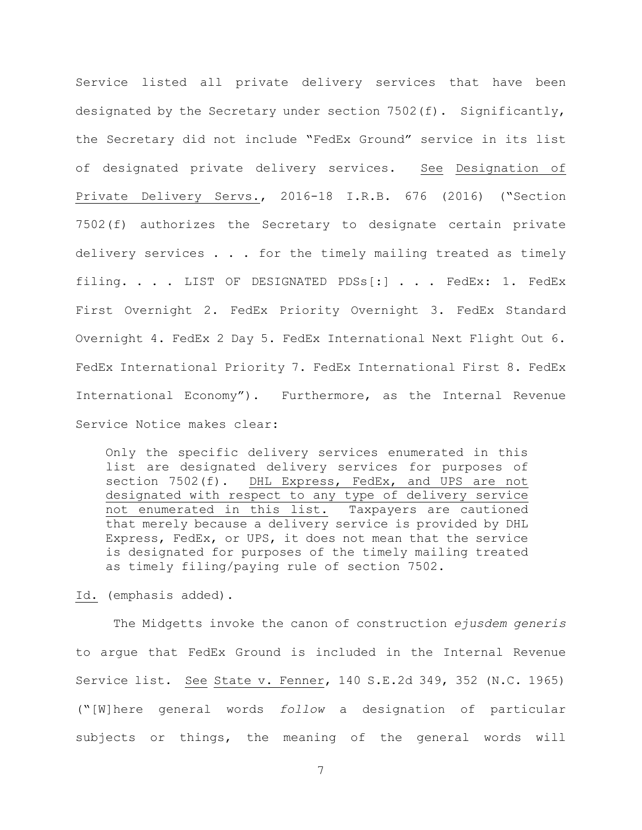Service listed all private delivery services that have been designated by the Secretary under section  $7502(f)$ . Significantly, the Secretary did not include "FedEx Ground" service in its list of designated private delivery services. See Designation of Private Delivery Servs., 2016-18 I.R.B. 676 (2016) ("Section 7502(f) authorizes the Secretary to designate certain private delivery services . . . for the timely mailing treated as timely filing. . . . LIST OF DESIGNATED PDSs[:] . . . FedEx: 1. FedEx First Overnight 2. FedEx Priority Overnight 3. FedEx Standard Overnight 4. FedEx 2 Day 5. FedEx International Next Flight Out 6. FedEx International Priority 7. FedEx International First 8. FedEx International Economy"). Furthermore, as the Internal Revenue Service Notice makes clear:

Only the specific delivery services enumerated in this list are designated delivery services for purposes of<br>section 7502(f). DHL Express, FedEx, and UPS are not DHL Express, FedEx, and UPS are not designated with respect to any type of delivery service not enumerated in this list. Taxpayers are cautioned that merely because a delivery service is provided by DHL Express, FedEx, or UPS, it does not mean that the service is designated for purposes of the timely mailing treated as timely filing/paying rule of section 7502.

Id. (emphasis added).

The Midgetts invoke the canon of construction *ejusdem generis* to argue that FedEx Ground is included in the Internal Revenue Service list. See State v. Fenner, 140 S.E.2d 349, 352 (N.C. 1965) ("[W]here general words *follow* a designation of particular subjects or things, the meaning of the general words will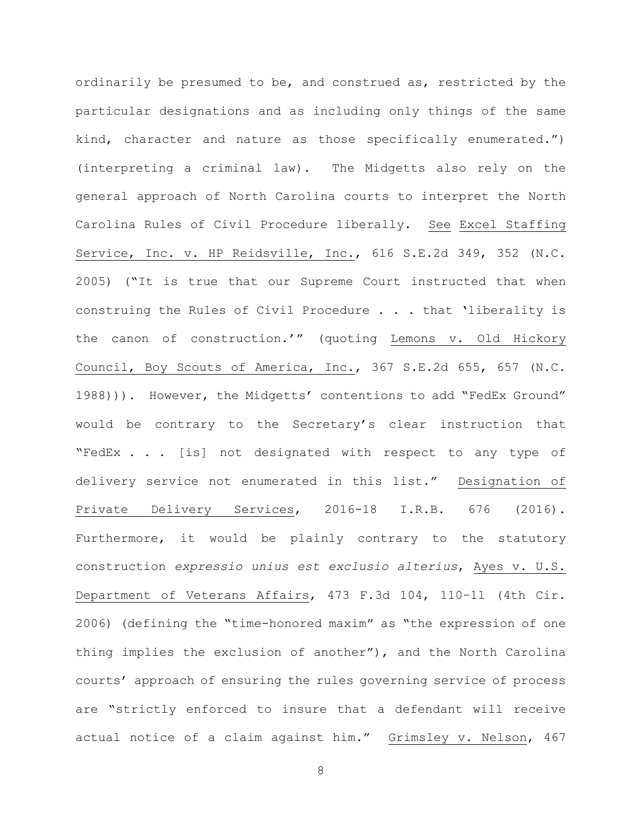ordinarily be presumed to be, and construed as, restricted by the particular designations and as including only things of the same kind, character and nature as those specifically enumerated.") (interpreting a criminal law). The Midgetts also rely on the general approach of North Carolina courts to interpret the North Carolina Rules of Civil Procedure liberally. See Excel Staffing Service, Inc. v. HP Reidsville, Inc., 616 S.E.2d 349, 352 (N.C. 2005) ("It is true that our Supreme Court instructed that when construing the Rules of Civil Procedure . . . that 'liberality is the canon of construction.'" (quoting Lemons v. Old Hickory Council, Boy Scouts of America, Inc., 367 S.E.2d 655, 657 (N.C. 1988))). However, the Midgetts' contentions to add "FedEx Ground" would be contrary to the Secretary's clear instruction that "FedEx . . . [is] not designated with respect to any type of delivery service not enumerated in this list." Designation of Private Delivery Services, 2016-18 I.R.B. 676 (2016). Furthermore, it would be plainly contrary to the statutory construction *expressio unius est exclusio alterius*, Ayes v. U.S. Department of Veterans Affairs, 473 F.3d 104, 110–11 (4th Cir. 2006) (defining the "time-honored maxim" as "the expression of one thing implies the exclusion of another"), and the North Carolina courts' approach of ensuring the rules governing service of process are "strictly enforced to insure that a defendant will receive actual notice of a claim against him." Grimsley v. Nelson, 467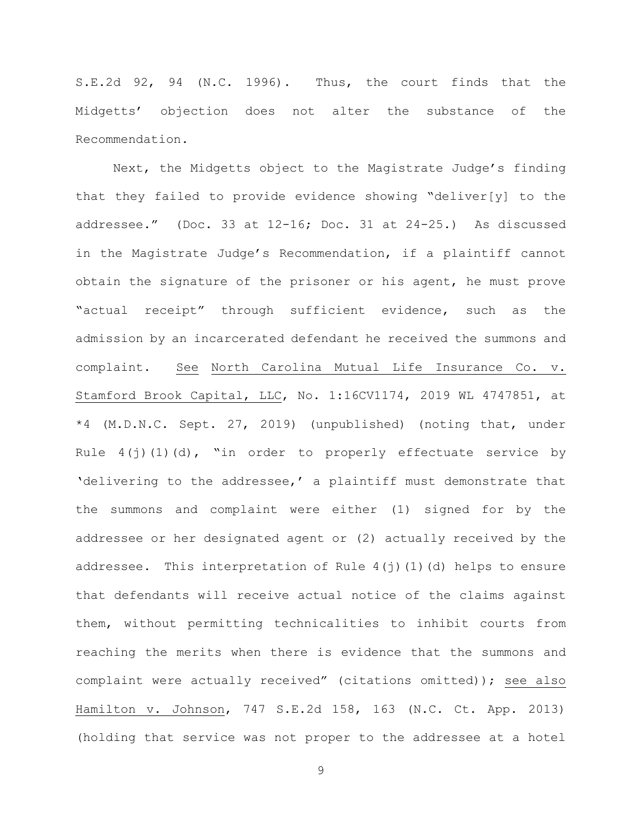S.E.2d 92, 94 (N.C. 1996). Thus, the court finds that the Midgetts' objection does not alter the substance of the Recommendation.

Next, the Midgetts object to the Magistrate Judge's finding that they failed to provide evidence showing "deliver[y] to the addressee." (Doc. 33 at 12-16; Doc. 31 at 24-25.) As discussed in the Magistrate Judge's Recommendation, if a plaintiff cannot obtain the signature of the prisoner or his agent, he must prove "actual receipt" through sufficient evidence, such as the admission by an incarcerated defendant he received the summons and complaint. See North Carolina Mutual Life Insurance Co. v. Stamford Brook Capital, LLC, No. 1:16CV1174, 2019 WL 4747851, at \*4 (M.D.N.C. Sept. 27, 2019) (unpublished) (noting that, under Rule  $4(j)(1)(d)$ , "in order to properly effectuate service by 'delivering to the addressee,' a plaintiff must demonstrate that the summons and complaint were either (1) signed for by the addressee or her designated agent or (2) actually received by the addressee. This interpretation of Rule  $4(i)(1)(d)$  helps to ensure that defendants will receive actual notice of the claims against them, without permitting technicalities to inhibit courts from reaching the merits when there is evidence that the summons and complaint were actually received" (citations omitted)); see also Hamilton v. Johnson, 747 S.E.2d 158, 163 (N.C. Ct. App. 2013) (holding that service was not proper to the addressee at a hotel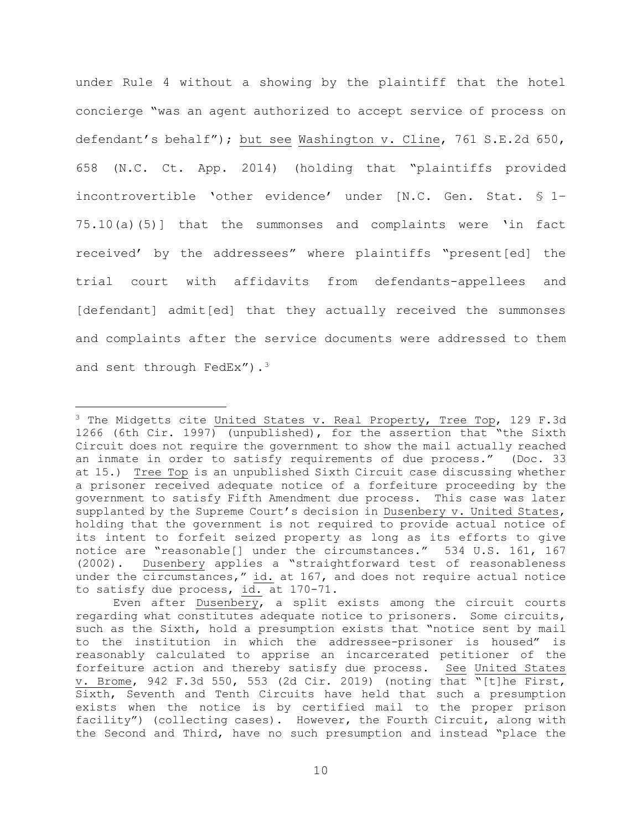under Rule 4 without a showing by the plaintiff that the hotel concierge "was an agent authorized to accept service of process on defendant's behalf"); but see Washington v. Cline, 761 S.E.2d 650, 658 (N.C. Ct. App. 2014) (holding that "plaintiffs provided incontrovertible 'other evidence' under [N.C. Gen. Stat. § 1– 75.10(a)(5)] that the summonses and complaints were 'in fact received' by the addressees" where plaintiffs "present[ed] the trial court with affidavits from defendants-appellees and [defendant] admit[ed] that they actually received the summonses and complaints after the service documents were addressed to them and sent through FedEx").<sup>3</sup>

<sup>&</sup>lt;sup>3</sup> The Midgetts cite United States v. Real Property, Tree Top, 129 F.3d 1266 (6th Cir. 1997) (unpublished), for the assertion that "the Sixth Circuit does not require the government to show the mail actually reached an inmate in order to satisfy requirements of due process." (Doc. 33 at 15.) Tree Top is an unpublished Sixth Circuit case discussing whether a prisoner received adequate notice of a forfeiture proceeding by the government to satisfy Fifth Amendment due process. This case was later supplanted by the Supreme Court's decision in Dusenbery v. United States, holding that the government is not required to provide actual notice of its intent to forfeit seized property as long as its efforts to give notice are "reasonable[] under the circumstances." 534 U.S. 161, 167 (2002). Dusenbery applies a "straightforward test of reasonableness under the circumstances," id. at 167, and does not require actual notice to satisfy due process, id. at 170-71.

Even after Dusenbery, a split exists among the circuit courts regarding what constitutes adequate notice to prisoners. Some circuits, such as the Sixth, hold a presumption exists that "notice sent by mail to the institution in which the addressee-prisoner is housed" is reasonably calculated to apprise an incarcerated petitioner of the forfeiture action and thereby satisfy due process. See United States v. Brome, 942 F.3d 550, 553 (2d Cir. 2019) (noting that "[t]he First, Sixth, Seventh and Tenth Circuits have held that such a presumption exists when the notice is by certified mail to the proper prison facility") (collecting cases). However, the Fourth Circuit, along with the Second and Third, have no such presumption and instead "place the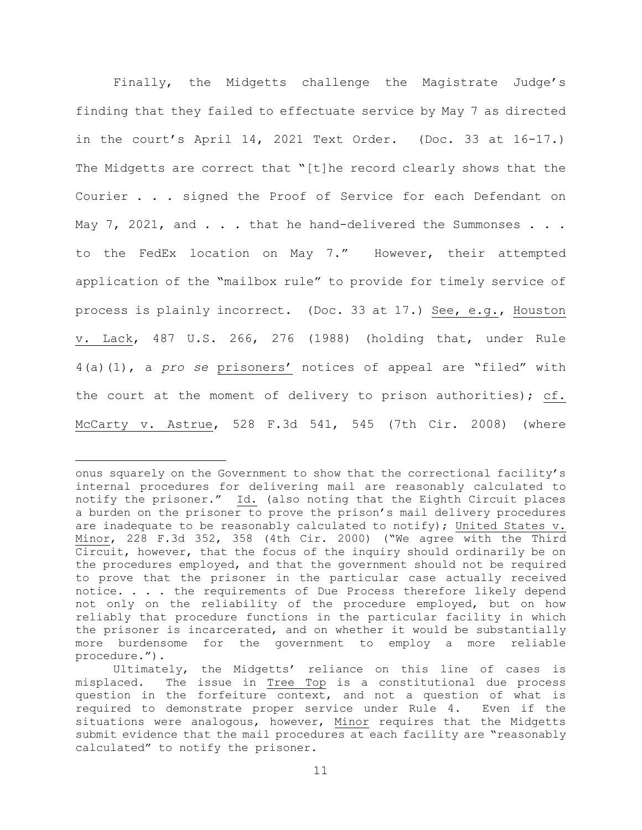Finally, the Midgetts challenge the Magistrate Judge's finding that they failed to effectuate service by May 7 as directed in the court's April 14, 2021 Text Order. (Doc. 33 at 16-17.) The Midgetts are correct that "[t]he record clearly shows that the Courier . . . signed the Proof of Service for each Defendant on May  $7$ , 2021, and  $\ldots$  that he hand-delivered the Summonses  $\ldots$ . to the FedEx location on May 7." However, their attempted application of the "mailbox rule" to provide for timely service of process is plainly incorrect. (Doc. 33 at 17.) See, e.g., Houston v. Lack, 487 U.S. 266, 276 (1988) (holding that, under Rule 4(a)(1), a *pro se* prisoners' notices of appeal are "filed" with the court at the moment of delivery to prison authorities); cf. McCarty v. Astrue, 528 F.3d 541, 545 (7th Cir. 2008) (where

onus squarely on the Government to show that the correctional facility's internal procedures for delivering mail are reasonably calculated to notify the prisoner." Id. (also noting that the Eighth Circuit places a burden on the prisoner to prove the prison's mail delivery procedures are inadequate to be reasonably calculated to notify); United States v. Minor, 228 F.3d 352, 358 (4th Cir. 2000) ("We agree with the Third Circuit, however, that the focus of the inquiry should ordinarily be on the procedures employed, and that the government should not be required to prove that the prisoner in the particular case actually received notice. . . . the requirements of Due Process therefore likely depend not only on the reliability of the procedure employed, but on how reliably that procedure functions in the particular facility in which the prisoner is incarcerated, and on whether it would be substantially more burdensome for the government to employ a more reliable procedure.").

Ultimately, the Midgetts' reliance on this line of cases is misplaced. The issue in Tree Top is a constitutional due process question in the forfeiture context, and not a question of what is required to demonstrate proper service under Rule 4. Even if the situations were analogous, however, Minor requires that the Midgetts submit evidence that the mail procedures at each facility are "reasonably calculated" to notify the prisoner.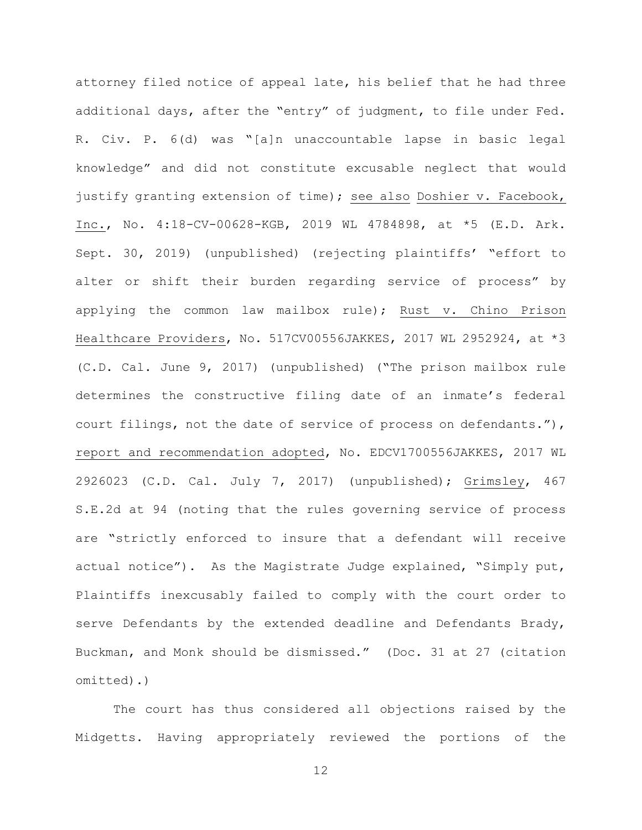attorney filed notice of appeal late, his belief that he had three additional days, after the "entry" of judgment, to file under Fed. R. Civ. P. 6(d) was "[a]n unaccountable lapse in basic legal knowledge" and did not constitute excusable neglect that would justify granting extension of time); see also Doshier v. Facebook, Inc., No. 4:18-CV-00628-KGB, 2019 WL 4784898, at \*5 (E.D. Ark. Sept. 30, 2019) (unpublished) (rejecting plaintiffs' "effort to alter or shift their burden regarding service of process" by applying the common law mailbox rule); Rust v. Chino Prison Healthcare Providers, No. 517CV00556JAKKES, 2017 WL 2952924, at \*3 (C.D. Cal. June 9, 2017) (unpublished) ("The prison mailbox rule determines the constructive filing date of an inmate's federal court filings, not the date of service of process on defendants."), report and recommendation adopted, No. EDCV1700556JAKKES, 2017 WL 2926023 (C.D. Cal. July 7, 2017) (unpublished); Grimsley, 467 S.E.2d at 94 (noting that the rules governing service of process are "strictly enforced to insure that a defendant will receive actual notice"). As the Magistrate Judge explained, "Simply put, Plaintiffs inexcusably failed to comply with the court order to serve Defendants by the extended deadline and Defendants Brady, Buckman, and Monk should be dismissed." (Doc. 31 at 27 (citation omitted).)

The court has thus considered all objections raised by the Midgetts. Having appropriately reviewed the portions of the